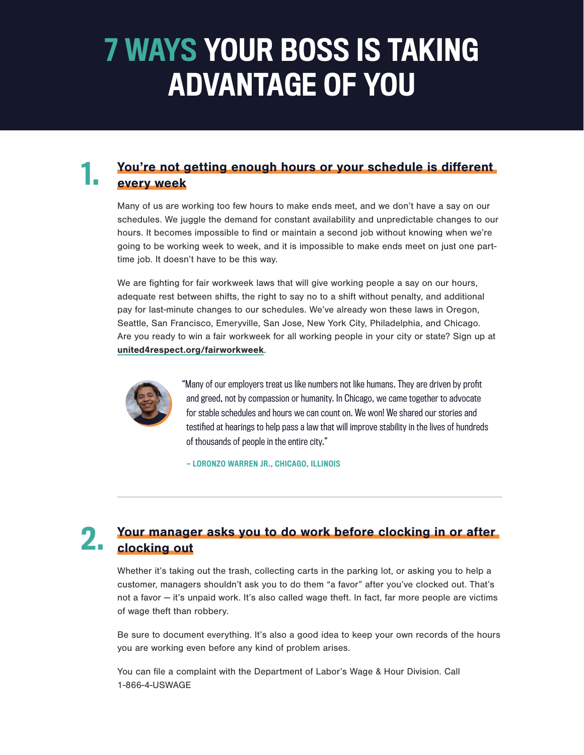# 7 WAYS YOUR BOSS IS TAKING ADVANTAGE OF YOU

#### You're not getting enough hours or your schedule is different every week 1.

Many of us are working too few hours to make ends meet, and we don't have a say on our schedules. We juggle the demand for constant availability and unpredictable changes to our hours. It becomes impossible to find or maintain a second job without knowing when we're going to be working week to week, and it is impossible to make ends meet on just one parttime job. It doesn't have to be this way.

We are fighting for fair workweek laws that will give working people a say on our hours, adequate rest between shifts, the right to say no to a shift without penalty, and additional pay for last-minute changes to our schedules. We've already won these laws in Oregon, Seattle, San Francisco, Emeryville, San Jose, New York City, Philadelphia, and Chicago. Are you ready to win a fair workweek for all working people in your city or state? Sign up at [united4respect.org/fairworkweek](http://united4respect.org/fairworkweek).



"Many of our employers treat us like numbers not like humans. They are driven by profit and greed, not by compassion or humanity. In Chicago, we came together to advocate for stable schedules and hours we can count on. We won! We shared our stories and testified at hearings to help pass a law that will improve stability in the lives of hundreds of thousands of people in the entire city."

— LORONZO WARREN JR., CHICAGO, ILLINOIS

#### Your manager asks you to do work before clocking in or after clocking out 2.

Whether it's taking out the trash, collecting carts in the parking lot, or asking you to help a customer, managers shouldn't ask you to do them "a favor" after you've clocked out. That's not a favor — it's unpaid work. It's also called wage theft. In fact, far more people are victims of wage theft than robbery.

Be sure to document everything. It's also a good idea to keep your own records of the hours you are working even before any kind of problem arises.

You can file a complaint with the Department of Labor's Wage & Hour Division. Call 1-866-4-USWAGE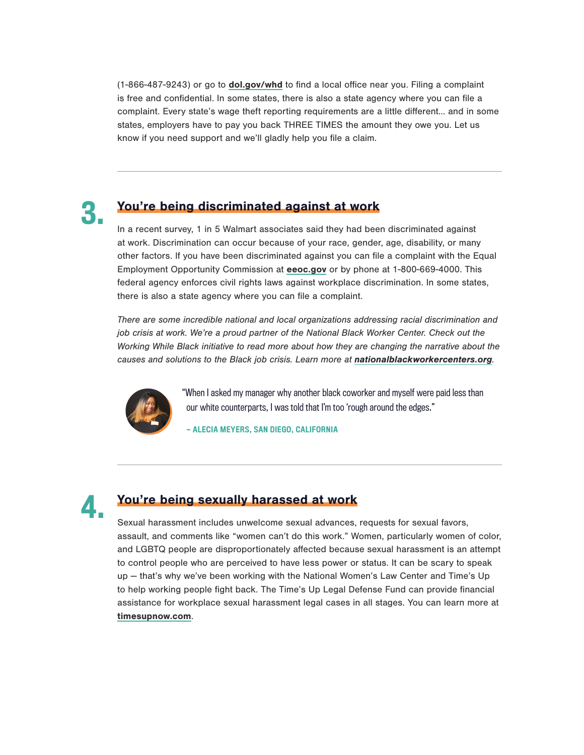(1-866-487-9243) or go to [dol.gov/whd](http://dol.gov/whd) to find a local office near you. Filing a complaint is free and confidential. In some states, there is also a state agency where you can file a complaint. Every state's wage theft reporting requirements are a little different… and in some states, employers have to pay you back THREE TIMES the amount they owe you. Let us know if you need support and we'll gladly help you file a claim.



## You're being discriminated against at work

In a recent survey, 1 in 5 Walmart associates said they had been discriminated against at work. Discrimination can occur because of your race, gender, age, disability, or many other factors. If you have been discriminated against you can file a complaint with the Equal Employment Opportunity Commission at [eeoc.gov](http://eeoc.gov) or by phone at 1-800-669-4000. This federal agency enforces civil rights laws against workplace discrimination. In some states, there is also a state agency where you can file a complaint.

*There are some incredible national and local organizations addressing racial discrimination and job crisis at work. We're a proud partner of the National Black Worker Center. Check out the Working While Black initiative to read more about how they are changing the narrative about the causes and solutions to the Black job crisis. Learn more at* [nationalblackworkercenters.org](http://nationalblackworkercenters.org)*.*



"When I asked my manager why another black coworker and myself were paid less than our white counterparts, I was told that I'm too 'rough around the edges."

— ALECIA MEYERS, SAN DIEGO, CALIFORNIA



## You're being sexually harassed at work

Sexual harassment includes unwelcome sexual advances, requests for sexual favors, assault, and comments like "women can't do this work." Women, particularly women of color, and LGBTQ people are disproportionately affected because sexual harassment is an attempt to control people who are perceived to have less power or status. It can be scary to speak up — that's why we've been working with the National Women's Law Center and Time's Up to help working people fight back. The Time's Up Legal Defense Fund can provide financial assistance for workplace sexual harassment legal cases in all stages. You can learn more at [timesupnow.com](http://timesupnow.com).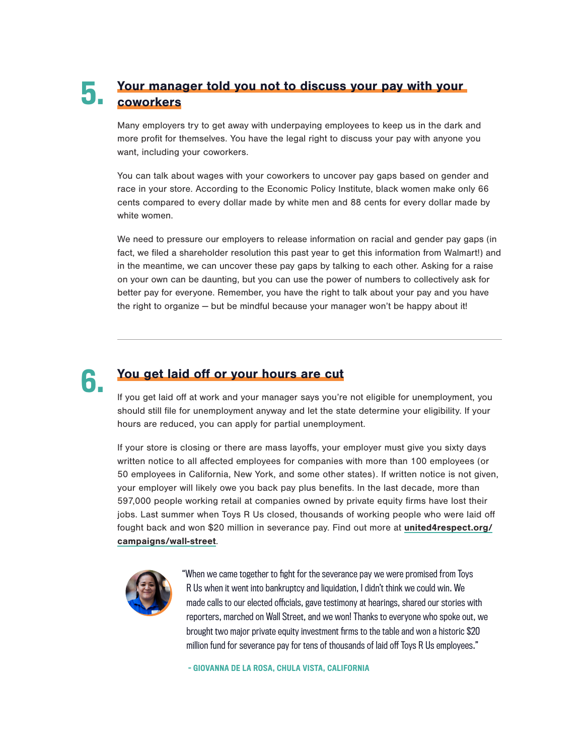#### Your manager told you not to discuss your pay with your coworkers 5.

Many employers try to get away with underpaying employees to keep us in the dark and more profit for themselves. You have the legal right to discuss your pay with anyone you want, including your coworkers.

You can talk about wages with your coworkers to uncover pay gaps based on gender and race in your store. According to the Economic Policy Institute, black women make only 66 cents compared to every dollar made by white men and 88 cents for every dollar made by white women.

We need to pressure our employers to release information on racial and gender pay gaps (in fact, we filed a shareholder resolution this past year to get this information from Walmart!) and in the meantime, we can uncover these pay gaps by talking to each other. Asking for a raise on your own can be daunting, but you can use the power of numbers to collectively ask for better pay for everyone. Remember, you have the right to talk about your pay and you have the right to organize — but be mindful because your manager won't be happy about it!

# 6.

# You get laid off or your hours are cut

If you get laid off at work and your manager says you're not eligible for unemployment, you should still file for unemployment anyway and let the state determine your eligibility. If your hours are reduced, you can apply for partial unemployment.

If your store is closing or there are mass layoffs, your employer must give you sixty days written notice to all affected employees for companies with more than 100 employees (or 50 employees in California, New York, and some other states). If written notice is not given, your employer will likely owe you back pay plus benefits. In the last decade, more than 597,000 people working retail at companies owned by private equity firms have lost their jobs. Last summer when Toys R Us closed, thousands of working people who were laid off fought back and won \$20 million in severance pay. Find out more at [united4respect.org/](http://united4respect.org/campaigns/wall-street) [campaigns/wall-street](http://united4respect.org/campaigns/wall-street).



"When we came together to fight for the severance pay we were promised from Toys R Us when it went into bankruptcy and liquidation, I didn't think we could win. We made calls to our elected officials, gave testimony at hearings, shared our stories with reporters, marched on Wall Street, and we won! Thanks to everyone who spoke out, we brought two major private equity investment firms to the table and won a historic \$20 million fund for severance pay for tens of thousands of laid off Toys R Us employees."

- GIOVANNA DE LA ROSA, CHULA VISTA, CALIFORNIA